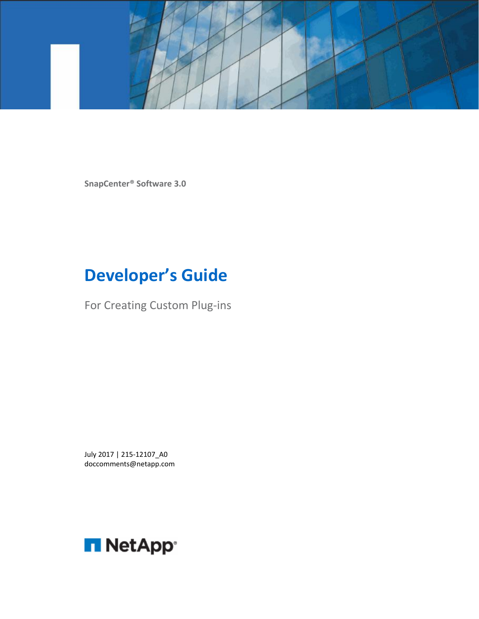

**SnapCenter® Software 3.0**

# **Developer's Guide**

For Creating Custom Plug-ins

July 2017 | 215-12107\_A0 doccomments@netapp.com

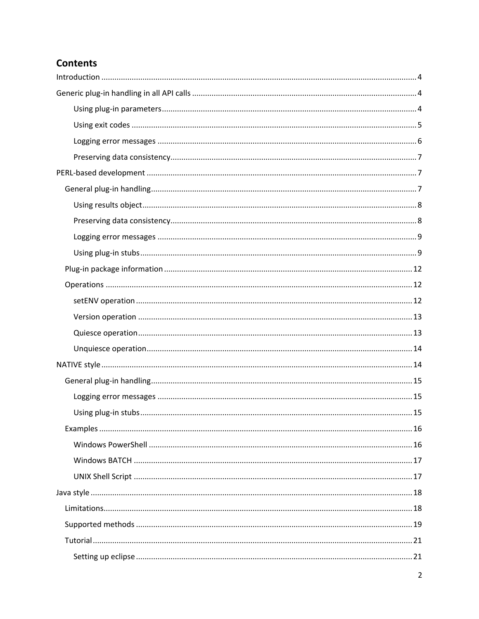### **Contents**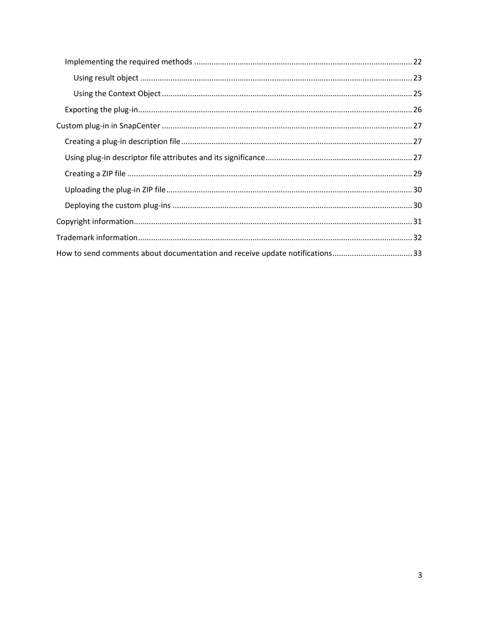| How to send comments about documentation and receive update notifications33 |  |
|-----------------------------------------------------------------------------|--|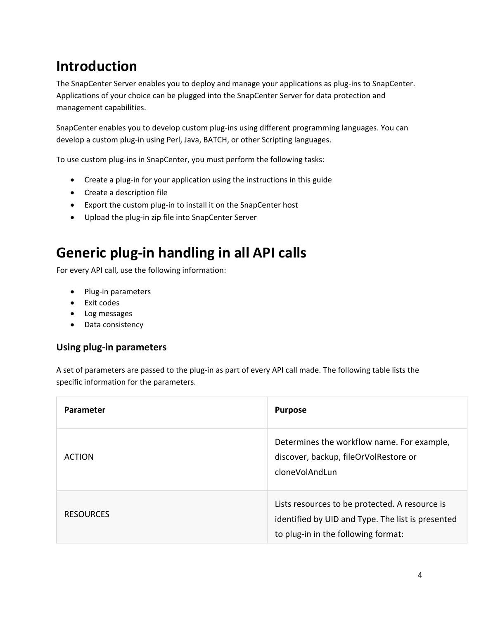## <span id="page-4-0"></span>**Introduction**

The SnapCenter Server enables you to deploy and manage your applications as plug-ins to SnapCenter. Applications of your choice can be plugged into the SnapCenter Server for data protection and management capabilities.

SnapCenter enables you to develop custom plug-ins using different programming languages. You can develop a custom plug-in using Perl, Java, BATCH, or other Scripting languages.

To use custom plug-ins in SnapCenter, you must perform the following tasks:

- Create a plug-in for your application using the instructions in this guide
- Create a description file
- Export the custom plug-in to install it on the SnapCenter host
- Upload the plug-in zip file into SnapCenter Server

## <span id="page-4-1"></span>**Generic plug-in handling in all API calls**

For every API call, use the following information:

- Plug-in parameters
- Exit codes
- Log messages
- Data consistency

### <span id="page-4-2"></span>**Using plug-in parameters**

A set of parameters are passed to the plug-in as part of every API call made. The following table lists the specific information for the parameters.

| <b>Parameter</b> | <b>Purpose</b>                                                                                                                             |
|------------------|--------------------------------------------------------------------------------------------------------------------------------------------|
| <b>ACTION</b>    | Determines the workflow name. For example,<br>discover, backup, fileOrVolRestore or<br>cloneVolAndLun                                      |
| <b>RESOURCES</b> | Lists resources to be protected. A resource is<br>identified by UID and Type. The list is presented<br>to plug-in in the following format: |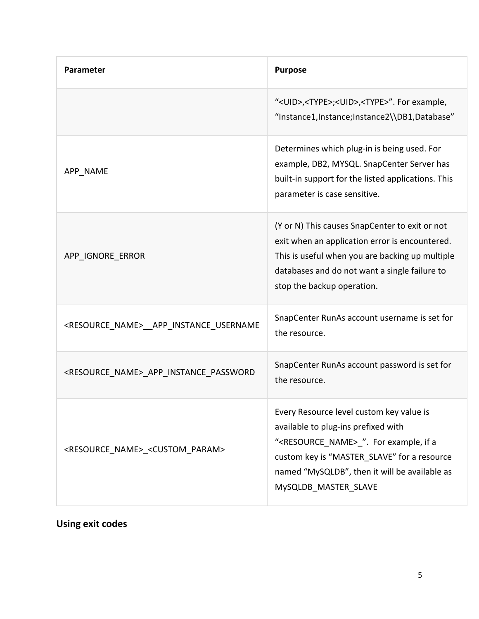| Parameter                                                     | <b>Purpose</b>                                                                                                                                                                                                                                                       |
|---------------------------------------------------------------|----------------------------------------------------------------------------------------------------------------------------------------------------------------------------------------------------------------------------------------------------------------------|
|                                                               | " <uid>,<type>;<uid>,<type>". For example,<br/>"Instance1,Instance;Instance2\\DB1,Database"</type></uid></type></uid>                                                                                                                                                |
| APP NAME                                                      | Determines which plug-in is being used. For<br>example, DB2, MYSQL. SnapCenter Server has<br>built-in support for the listed applications. This<br>parameter is case sensitive.                                                                                      |
| APP IGNORE ERROR                                              | (Y or N) This causes SnapCenter to exit or not<br>exit when an application error is encountered.<br>This is useful when you are backing up multiple<br>databases and do not want a single failure to<br>stop the backup operation.                                   |
| <resource_name>__APP_INSTANCE_USERNAME</resource_name>        | SnapCenter RunAs account username is set for<br>the resource.                                                                                                                                                                                                        |
| <resource_name>_APP_INSTANCE_PASSWORD</resource_name>         | SnapCenter RunAs account password is set for<br>the resource.                                                                                                                                                                                                        |
| <resource_name>_<custom_param></custom_param></resource_name> | Every Resource level custom key value is<br>available to plug-ins prefixed with<br>" <resource_name> ". For example, if a<br/>custom key is "MASTER_SLAVE" for a resource<br/>named "MySQLDB", then it will be available as<br/>MySQLDB MASTER SLAVE</resource_name> |

### <span id="page-5-0"></span>**Using exit codes**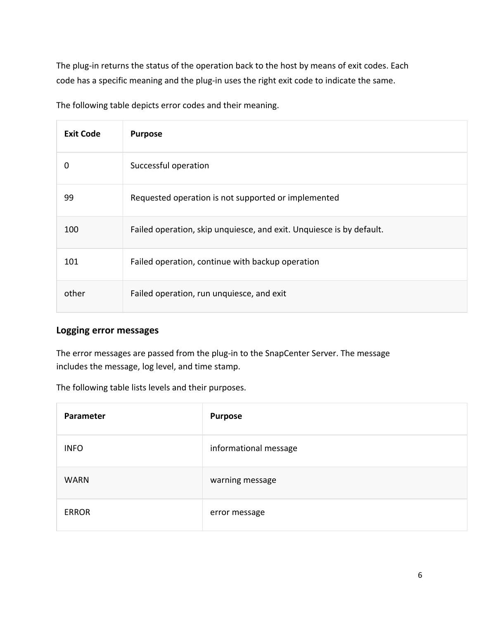The plug-in returns the status of the operation back to the host by means of exit codes. Each code has a specific meaning and the plug-in uses the right exit code to indicate the same.

The following table depicts error codes and their meaning.

| <b>Exit Code</b> | <b>Purpose</b>                                                       |
|------------------|----------------------------------------------------------------------|
| 0                | Successful operation                                                 |
| 99               | Requested operation is not supported or implemented                  |
| 100              | Failed operation, skip unquiesce, and exit. Unquiesce is by default. |
| 101              | Failed operation, continue with backup operation                     |
| other            | Failed operation, run unquiesce, and exit                            |

### <span id="page-6-0"></span>**Logging error messages**

The error messages are passed from the plug-in to the SnapCenter Server. The message includes the message, log level, and time stamp.

The following table lists levels and their purposes.

| Parameter    | <b>Purpose</b>        |
|--------------|-----------------------|
| <b>INFO</b>  | informational message |
| <b>WARN</b>  | warning message       |
| <b>ERROR</b> | error message         |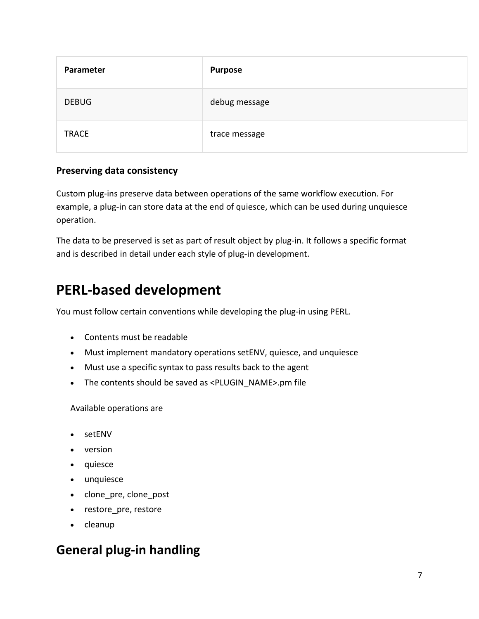| Parameter    | <b>Purpose</b> |
|--------------|----------------|
| <b>DEBUG</b> | debug message  |
| <b>TRACE</b> | trace message  |

### <span id="page-7-0"></span>**Preserving data consistency**

Custom plug-ins preserve data between operations of the same workflow execution. For example, a plug-in can store data at the end of quiesce, which can be used during unquiesce operation.

The data to be preserved is set as part of result object by plug-in. It follows a specific format and is described in detail under each style of plug-in development.

## <span id="page-7-1"></span>**PERL-based development**

You must follow certain conventions while developing the plug-in using PERL.

- Contents must be readable
- Must implement mandatory operations setENV, quiesce, and unquiesce
- Must use a specific syntax to pass results back to the agent
- The contents should be saved as <PLUGIN\_NAME>.pm file

Available operations are

- setENV
- version
- quiesce
- unquiesce
- clone\_pre, clone\_post
- restore pre, restore
- cleanup

## <span id="page-7-2"></span>**General plug-in handling**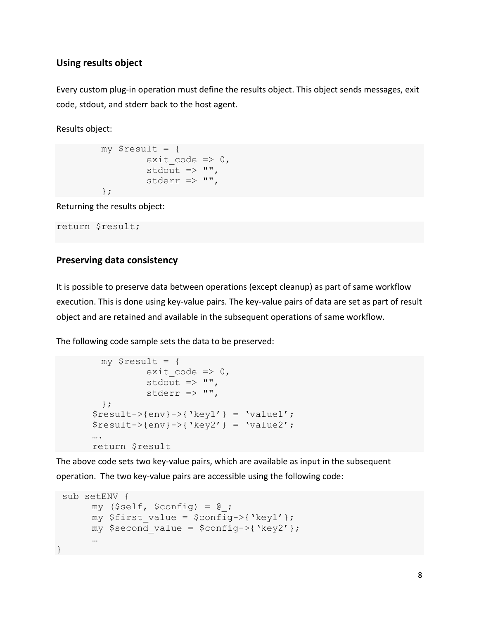### <span id="page-8-0"></span>**Using results object**

Every custom plug-in operation must define the results object. This object sends messages, exit code, stdout, and stderr back to the host agent.

Results object:

```
my $result = {exit code \Rightarrow 0,
            stdout \Rightarrow "",
            stderr \Rightarrow "",
 };
```
Returning the results object:

return \$result;

### <span id="page-8-1"></span>**Preserving data consistency**

It is possible to preserve data between operations (except cleanup) as part of same workflow execution. This is done using key-value pairs. The key-value pairs of data are set as part of result object and are retained and available in the subsequent operations of same workflow.

The following code sample sets the data to be preserved:

```
my $result = {exit code => 0,stdout \Rightarrow "",
          stderr \Rightarrow "",
   };
$result->{env}->{'key1'} = 'value1';$result->{env}->{'key2'} = 'value2';….
return $result
```
The above code sets two key-value pairs, which are available as input in the subsequent operation. The two key-value pairs are accessible using the following code:

```
sub setENV {
      my (Sself, Sconfig) = @;;my $first value = $config->{'key1'}};my $second value = $config->{'key2'}};…
}
```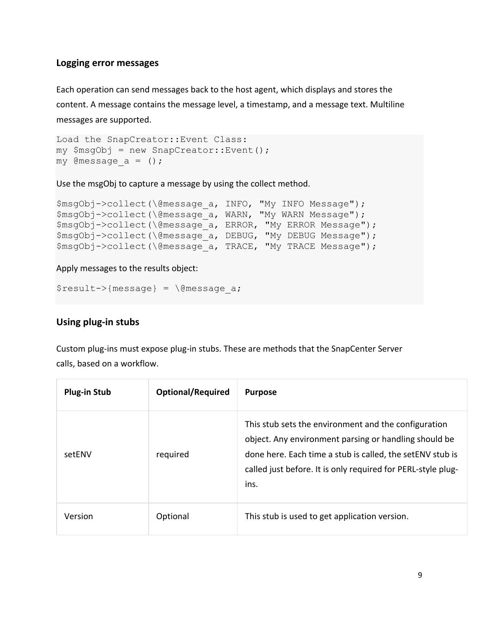### <span id="page-9-0"></span>**Logging error messages**

Each operation can send messages back to the host agent, which displays and stores the content. A message contains the message level, a timestamp, and a message text. Multiline messages are supported.

```
Load the SnapCreator::Event Class:
my $msgObj = new SnapCreate:Event();
my @message a = ();
```
Use the msgObj to capture a message by using the collect method.

```
$msgObj->collect(\@message_a, INFO, "My INFO Message");
$msgObj->collect(\@message a, WARN, "My WARN Message");
$msgObj->collect(\@message_a, ERROR, "My ERROR Message");
$msgObj->collect(\@message_a, DEBUG, "My DEBUG Message");
$msgObj->collect(\@message_a, TRACE, "My TRACE Message");
```
#### Apply messages to the results object:

 $$result->{message} = \langle\text{Qmessage a};\right.$ 

### <span id="page-9-1"></span>**Using plug-in stubs**

Custom plug-ins must expose plug-in stubs. These are methods that the SnapCenter Server calls, based on a workflow.

| <b>Plug-in Stub</b> | <b>Optional/Required</b> | <b>Purpose</b>                                                                                                                                                                                                                                     |
|---------------------|--------------------------|----------------------------------------------------------------------------------------------------------------------------------------------------------------------------------------------------------------------------------------------------|
| setENV              | required                 | This stub sets the environment and the configuration<br>object. Any environment parsing or handling should be<br>done here. Each time a stub is called, the setENV stub is<br>called just before. It is only required for PERL-style plug-<br>ins. |
| Version             | Optional                 | This stub is used to get application version.                                                                                                                                                                                                      |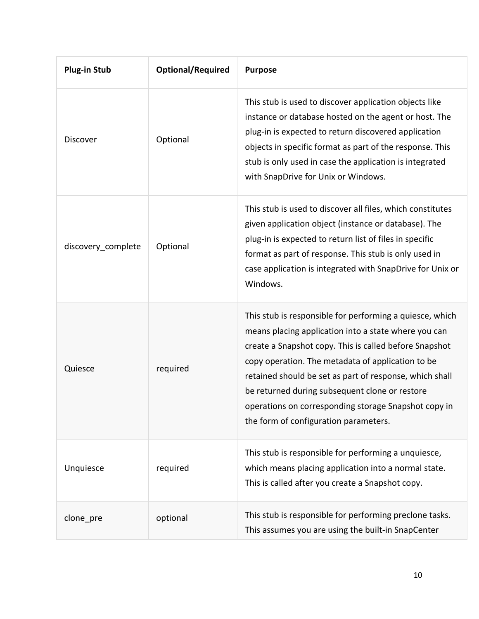| <b>Plug-in Stub</b> | <b>Optional/Required</b> | <b>Purpose</b>                                                                                                                                                                                                                                                                                                                                                                                                                                |
|---------------------|--------------------------|-----------------------------------------------------------------------------------------------------------------------------------------------------------------------------------------------------------------------------------------------------------------------------------------------------------------------------------------------------------------------------------------------------------------------------------------------|
| Discover            | Optional                 | This stub is used to discover application objects like<br>instance or database hosted on the agent or host. The<br>plug-in is expected to return discovered application<br>objects in specific format as part of the response. This<br>stub is only used in case the application is integrated<br>with SnapDrive for Unix or Windows.                                                                                                         |
| discovery complete  | Optional                 | This stub is used to discover all files, which constitutes<br>given application object (instance or database). The<br>plug-in is expected to return list of files in specific<br>format as part of response. This stub is only used in<br>case application is integrated with SnapDrive for Unix or<br>Windows.                                                                                                                               |
| Quiesce             | required                 | This stub is responsible for performing a quiesce, which<br>means placing application into a state where you can<br>create a Snapshot copy. This is called before Snapshot<br>copy operation. The metadata of application to be<br>retained should be set as part of response, which shall<br>be returned during subsequent clone or restore<br>operations on corresponding storage Snapshot copy in<br>the form of configuration parameters. |
| Unquiesce           | required                 | This stub is responsible for performing a unquiesce,<br>which means placing application into a normal state.<br>This is called after you create a Snapshot copy.                                                                                                                                                                                                                                                                              |
| clone_pre           | optional                 | This stub is responsible for performing preclone tasks.<br>This assumes you are using the built-in SnapCenter                                                                                                                                                                                                                                                                                                                                 |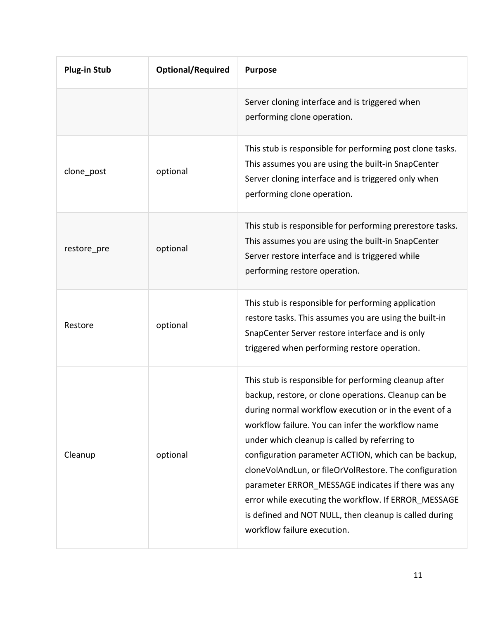| <b>Plug-in Stub</b> | <b>Optional/Required</b> | <b>Purpose</b>                                                                                                                                                                                                                                                                                                                                                                                                                                                                                                                                                                                        |
|---------------------|--------------------------|-------------------------------------------------------------------------------------------------------------------------------------------------------------------------------------------------------------------------------------------------------------------------------------------------------------------------------------------------------------------------------------------------------------------------------------------------------------------------------------------------------------------------------------------------------------------------------------------------------|
|                     |                          | Server cloning interface and is triggered when<br>performing clone operation.                                                                                                                                                                                                                                                                                                                                                                                                                                                                                                                         |
| clone_post          | optional                 | This stub is responsible for performing post clone tasks.<br>This assumes you are using the built-in SnapCenter<br>Server cloning interface and is triggered only when<br>performing clone operation.                                                                                                                                                                                                                                                                                                                                                                                                 |
| restore_pre         | optional                 | This stub is responsible for performing prerestore tasks.<br>This assumes you are using the built-in SnapCenter<br>Server restore interface and is triggered while<br>performing restore operation.                                                                                                                                                                                                                                                                                                                                                                                                   |
| Restore             | optional                 | This stub is responsible for performing application<br>restore tasks. This assumes you are using the built-in<br>SnapCenter Server restore interface and is only<br>triggered when performing restore operation.                                                                                                                                                                                                                                                                                                                                                                                      |
| Cleanup             | optional                 | This stub is responsible for performing cleanup after<br>backup, restore, or clone operations. Cleanup can be<br>during normal workflow execution or in the event of a<br>workflow failure. You can infer the workflow name<br>under which cleanup is called by referring to<br>configuration parameter ACTION, which can be backup,<br>cloneVolAndLun, or fileOrVolRestore. The configuration<br>parameter ERROR MESSAGE indicates if there was any<br>error while executing the workflow. If ERROR MESSAGE<br>is defined and NOT NULL, then cleanup is called during<br>workflow failure execution. |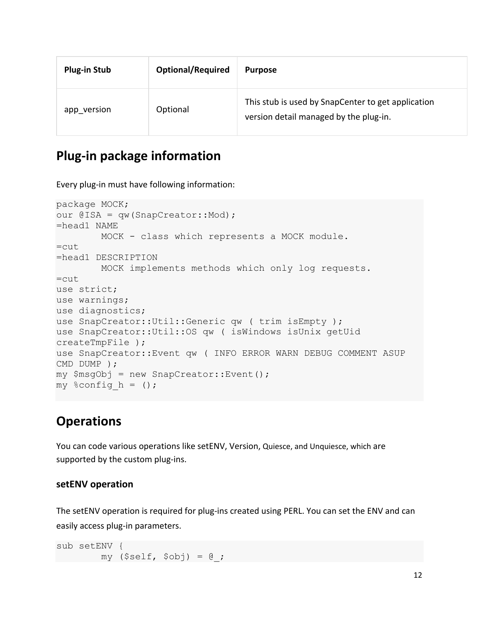| <b>Plug-in Stub</b> | <b>Optional/Required</b> | <b>Purpose</b>                                                                               |
|---------------------|--------------------------|----------------------------------------------------------------------------------------------|
| app version         | Optional                 | This stub is used by SnapCenter to get application<br>version detail managed by the plug-in. |

### <span id="page-12-0"></span>**Plug-in package information**

Every plug-in must have following information:

```
package MOCK;
our @ISA = qw(SnapCreator::Mod) ;
=head1 NAME
         MOCK - class which represents a MOCK module.
=cut
=head1 DESCRIPTION
         MOCK implements methods which only log requests. 
=cut
use strict;
use warnings;
use diagnostics;
use SnapCreator:: Util:: Generic qw ( trim is Empty );
use SnapCreator::Util::OS qw ( isWindows isUnix getUid 
createTmpFile );
use SnapCreator::Event qw ( INFO ERROR WARN DEBUG COMMENT ASUP 
CMD DUMP );
my $msgObj = new SnapCreator::Event();
my \text{Sconfig}\;h = ();
```
### <span id="page-12-1"></span>**Operations**

You can code various operations like setENV, Version, Quiesce, and Unquiesce, which are supported by the custom plug-ins.

#### <span id="page-12-2"></span>**setENV operation**

The setENV operation is required for plug-ins created using PERL. You can set the ENV and can easily access plug-in parameters.

sub setENV { my  $(Sself, Sobj) = 0;$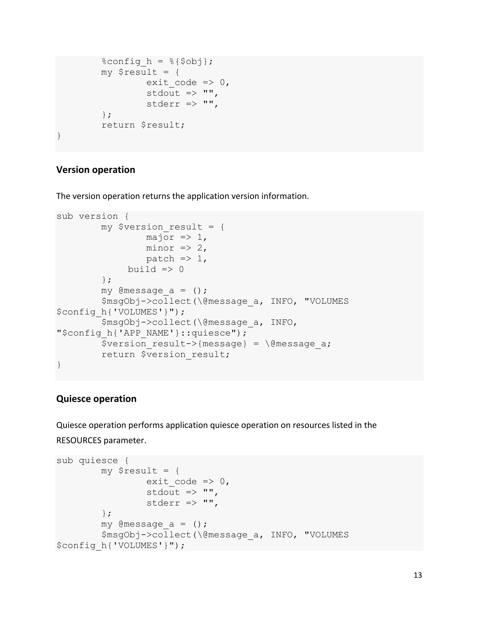```
%config h = <math>{s{sobj}}</math>;my $result = {exit code \Rightarrow 0,
                       stdout \Rightarrow "",
                       stderr \Rightarrow "",
             };
            return $result;
}
```
### <span id="page-13-0"></span>**Version operation**

The version operation returns the application version information.

```
sub version {
         my $version result = {
                 major \Rightarrow 1,minor \Rightarrow 2,
                  patch \Rightarrow 1,
              build \Rightarrow 0
          };
         my @message a = ();
          $msgObj->collect(\@message_a, INFO, "VOLUMES 
$config_h{'VOLUMES'}");
          $msgObj->collect(\@message_a, INFO, 
"$config h{'APP NAME'}::quiesce");
         $version result->{message} = \@{}@message a;
          return $version_result;
}
```
#### <span id="page-13-1"></span>**Quiesce operation**

Quiesce operation performs application quiesce operation on resources listed in the RESOURCES parameter.

```
sub quiesce {
         my $result = {exit code => 0,stdout \Rightarrow "",
                  stderr \Rightarrow "",
          };
         my @message a = ();
          $msgObj->collect(\@message_a, INFO, "VOLUMES 
$config_h{'VOLUMES'}");
```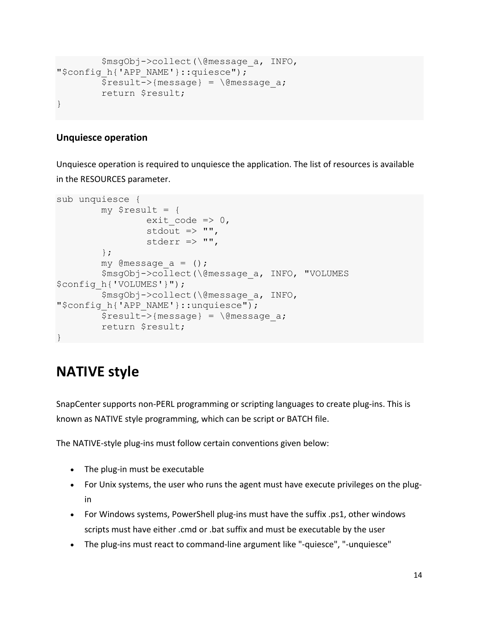```
 $msgObj->collect(\@message_a, INFO, 
"$config h{'APP NAME'}::quiesce");
         $result->{message} = \langle\text{Qmessage a};\rangle return $result;
}
```
### <span id="page-14-0"></span>**Unquiesce operation**

Unquiesce operation is required to unquiesce the application. The list of resources is available in the RESOURCES parameter.

```
sub unquiesce {
          my $result = {
                 exit code => 0,stdout \Rightarrow "",
                  stderr \Rightarrow "",
          };
         my @message a = ();
          $msgObj->collect(\@message_a, INFO, "VOLUMES 
$config_h{'VOLUMES'}");
          $msgObj->collect(\@message_a, INFO, 
"$config h{'APP NAME'}::unquiesce");
         $result->{message} = \langle\text{Qmessage a}; return $result;
}
```
## <span id="page-14-1"></span>**NATIVE style**

SnapCenter supports non-PERL programming or scripting languages to create plug-ins. This is known as NATIVE style programming, which can be script or BATCH file.

The NATIVE-style plug-ins must follow certain conventions given below:

- The plug-in must be executable
- For Unix systems, the user who runs the agent must have execute privileges on the plugin
- For Windows systems, PowerShell plug-ins must have the suffix .ps1, other windows scripts must have either .cmd or .bat suffix and must be executable by the user
- The plug-ins must react to command-line argument like "-quiesce", "-unquiesce"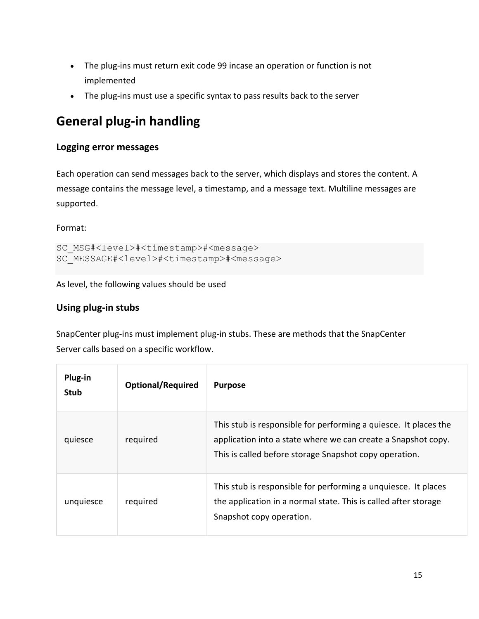- The plug-ins must return exit code 99 incase an operation or function is not implemented
- The plug-ins must use a specific syntax to pass results back to the server

## <span id="page-15-0"></span>**General plug-in handling**

### <span id="page-15-1"></span>**Logging error messages**

Each operation can send messages back to the server, which displays and stores the content. A message contains the message level, a timestamp, and a message text. Multiline messages are supported.

Format:

```
SC_MSG#<level>#<timestamp>#<message>
SC_MESSAGE#<level>#<timestamp>#<message>
```
As level, the following values should be used

### <span id="page-15-2"></span>**Using plug-in stubs**

SnapCenter plug-ins must implement plug-in stubs. These are methods that the SnapCenter Server calls based on a specific workflow.

| Plug-in<br><b>Stub</b> | <b>Optional/Required</b> | <b>Purpose</b>                                                                                                                                                                              |
|------------------------|--------------------------|---------------------------------------------------------------------------------------------------------------------------------------------------------------------------------------------|
| quiesce                | required                 | This stub is responsible for performing a quiesce. It places the<br>application into a state where we can create a Snapshot copy.<br>This is called before storage Snapshot copy operation. |
| unquiesce              | required                 | This stub is responsible for performing a unquiesce. It places<br>the application in a normal state. This is called after storage<br>Snapshot copy operation.                               |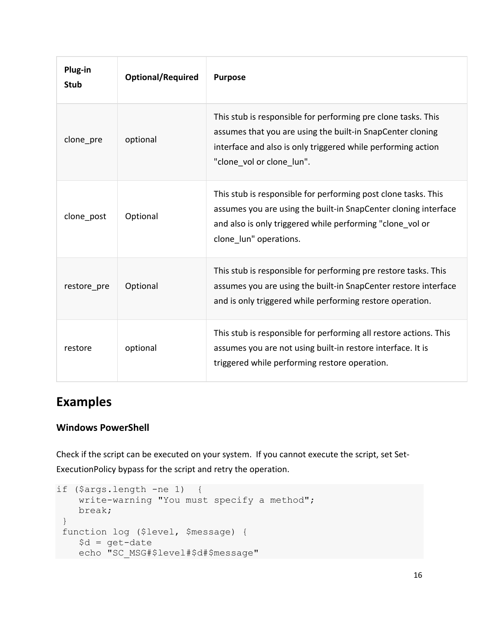| Plug-in<br><b>Stub</b> | <b>Optional/Required</b> | <b>Purpose</b>                                                                                                                                                                                                           |
|------------------------|--------------------------|--------------------------------------------------------------------------------------------------------------------------------------------------------------------------------------------------------------------------|
| clone pre              | optional                 | This stub is responsible for performing pre clone tasks. This<br>assumes that you are using the built-in SnapCenter cloning<br>interface and also is only triggered while performing action<br>"clone_vol or clone_lun". |
| clone post             | Optional                 | This stub is responsible for performing post clone tasks. This<br>assumes you are using the built-in SnapCenter cloning interface<br>and also is only triggered while performing "clone vol or<br>clone_lun" operations. |
| restore pre            | Optional                 | This stub is responsible for performing pre restore tasks. This<br>assumes you are using the built-in SnapCenter restore interface<br>and is only triggered while performing restore operation.                          |
| restore                | optional                 | This stub is responsible for performing all restore actions. This<br>assumes you are not using built-in restore interface. It is<br>triggered while performing restore operation.                                        |

### <span id="page-16-0"></span>**Examples**

### <span id="page-16-1"></span>**Windows PowerShell**

Check if the script can be executed on your system. If you cannot execute the script, set Set-ExecutionPolicy bypass for the script and retry the operation.

```
if ($args.length -ne 1) {
     write-warning "You must specify a method"; 
     break; 
 }
 function log ($level, $message) {
    \dots \theta = get-date
     echo "SC_MSG#$level#$d#$message"
```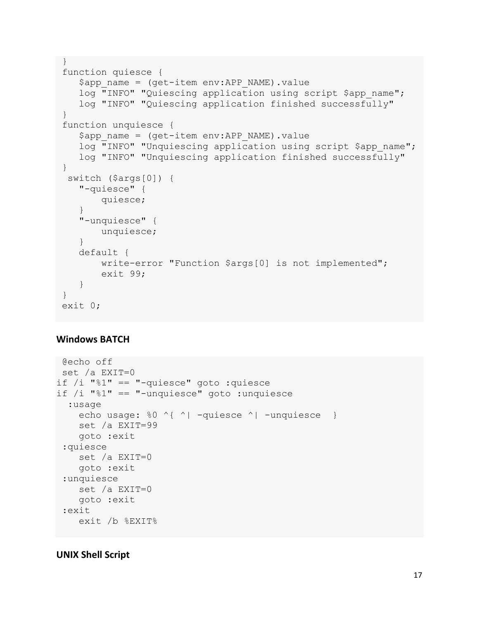```
}
function quiesce {
     $app_name = (get-item env:APP_NAME).value
    log "INFO" "Quiescing application using script $app_name";
     log "INFO" "Quiescing application finished successfully"
}
function unquiesce {
    $app name = (qet-item env:APP NAME) .valuelog "INFO" "Unquiescing application using script $app_name";
     log "INFO" "Unquiescing application finished successfully"
}
  switch ($args[0]) {
    "-quiesce" {
         quiesce;
 }
     "-unquiesce" {
         unquiesce;
     }
    default {
         write-error "Function $args[0] is not implemented";
         exit 99;
     }
}
exit 0;
```
### <span id="page-17-0"></span>**Windows BATCH**

```
@echo off
 set /a EXIT=0
if /i "%1" == "-quiesce" goto :quiesce
if /i "%1" == "-unquiesce" goto :unquiesce
   :usage
    echo usage: %0 ^{ ^| -quiesce ^| -unquiesce }
     set /a EXIT=99
     goto :exit
 :quiesce
     set /a EXIT=0
     goto :exit
 :unquiesce
     set /a EXIT=0
     goto :exit
 :exit
     exit /b %EXIT%
```
### <span id="page-17-1"></span>**UNIX Shell Script**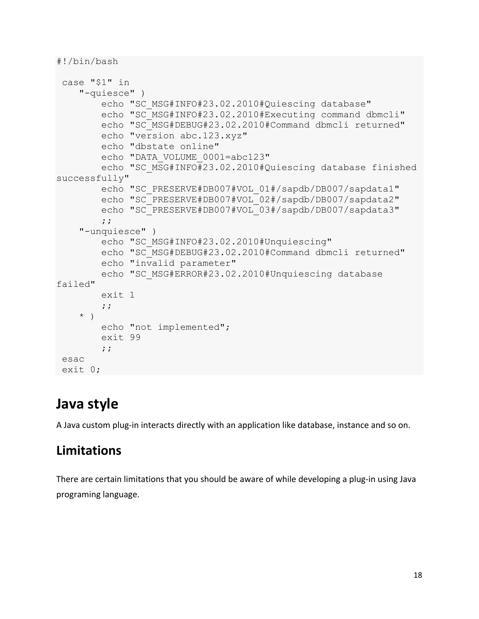```
#!/bin/bash
```

```
case "$1" in
     "-quiesce" ) 
        echo "SC_MSG#INFO#23.02.2010#Quiescing database"
         echo "SC_MSG#INFO#23.02.2010#Executing command dbmcli"
        echo "SC_MSG#DEBUG#23.02.2010#Command dbmcli returned"
         echo "version abc.123.xyz"
         echo "dbstate online"
         echo "DATA_VOLUME_0001=abc123"
         echo "SC_MSG#INFO#23.02.2010#Quiescing database finished 
successfully"
        echo "SC_PRESERVE#DB007#VOL_01#/sapdb/DB007/sapdata1"
        echo "SC_PRESERVE#DB007#VOL_02#/sapdb/DB007/sapdata2"
        echo "SC_PRESERVE#DB007#VOL_03#/sapdb/DB007/sapdata3"
         ;;
     "-unquiesce" )
        echo "SC_MSG#INFO#23.02.2010#Unquiescing"
         echo "SC_MSG#DEBUG#23.02.2010#Command dbmcli returned"
         echo "invalid parameter"
         echo "SC_MSG#ERROR#23.02.2010#Unquiescing database 
failed"
         exit 1
         ;;
     * )
         echo "not implemented";
         exit 99
         ;;
esac
exit 0;
```
## <span id="page-18-0"></span>**Java style**

A Java custom plug-in interacts directly with an application like database, instance and so on.

### <span id="page-18-1"></span>**Limitations**

There are certain limitations that you should be aware of while developing a plug-in using Java programing language.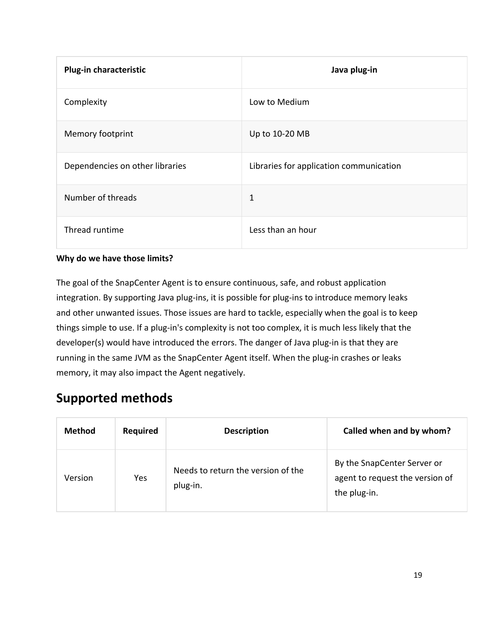| <b>Plug-in characteristic</b>   | Java plug-in                            |
|---------------------------------|-----------------------------------------|
| Complexity                      | Low to Medium                           |
| Memory footprint                | Up to 10-20 MB                          |
| Dependencies on other libraries | Libraries for application communication |
| Number of threads               | 1                                       |
| Thread runtime                  | Less than an hour                       |

### **Why do we have those limits?**

The goal of the SnapCenter Agent is to ensure continuous, safe, and robust application integration. By supporting Java plug-ins, it is possible for plug-ins to introduce memory leaks and other unwanted issues. Those issues are hard to tackle, especially when the goal is to keep things simple to use. If a plug-in's complexity is not too complex, it is much less likely that the developer(s) would have introduced the errors. The danger of Java plug-in is that they are running in the same JVM as the SnapCenter Agent itself. When the plug-in crashes or leaks memory, it may also impact the Agent negatively.

### <span id="page-19-0"></span>**Supported methods**

| <b>Method</b> | <b>Required</b> | <b>Description</b>                             | Called when and by whom?                                                       |
|---------------|-----------------|------------------------------------------------|--------------------------------------------------------------------------------|
| Version       | <b>Yes</b>      | Needs to return the version of the<br>plug-in. | By the SnapCenter Server or<br>agent to request the version of<br>the plug-in. |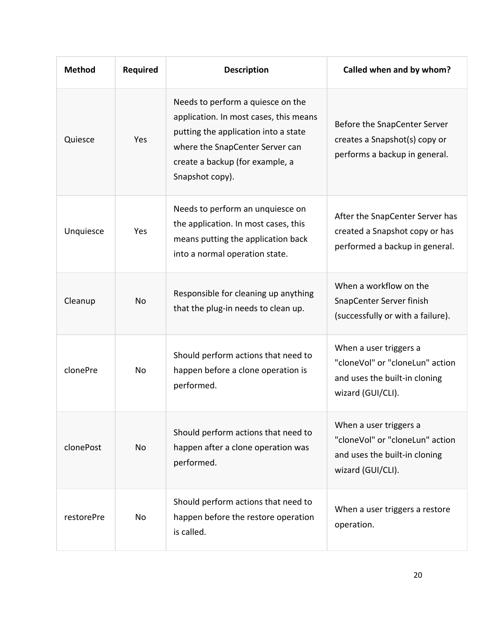| <b>Method</b> | <b>Required</b> | <b>Description</b>                                                                                                                                                                                           | Called when and by whom?                                                                                        |
|---------------|-----------------|--------------------------------------------------------------------------------------------------------------------------------------------------------------------------------------------------------------|-----------------------------------------------------------------------------------------------------------------|
| Quiesce       | Yes             | Needs to perform a quiesce on the<br>application. In most cases, this means<br>putting the application into a state<br>where the SnapCenter Server can<br>create a backup (for example, a<br>Snapshot copy). | Before the SnapCenter Server<br>creates a Snapshot(s) copy or<br>performs a backup in general.                  |
| Unquiesce     | Yes             | Needs to perform an unquiesce on<br>the application. In most cases, this<br>means putting the application back<br>into a normal operation state.                                                             | After the SnapCenter Server has<br>created a Snapshot copy or has<br>performed a backup in general.             |
| Cleanup       | <b>No</b>       | Responsible for cleaning up anything<br>that the plug-in needs to clean up.                                                                                                                                  | When a workflow on the<br>SnapCenter Server finish<br>(successfully or with a failure).                         |
| clonePre      | No              | Should perform actions that need to<br>happen before a clone operation is<br>performed.                                                                                                                      | When a user triggers a<br>"cloneVol" or "cloneLun" action<br>and uses the built-in cloning<br>wizard (GUI/CLI). |
| clonePost     | No              | Should perform actions that need to<br>happen after a clone operation was<br>performed.                                                                                                                      | When a user triggers a<br>"cloneVol" or "cloneLun" action<br>and uses the built-in cloning<br>wizard (GUI/CLI). |
| restorePre    | No              | Should perform actions that need to<br>happen before the restore operation<br>is called.                                                                                                                     | When a user triggers a restore<br>operation.                                                                    |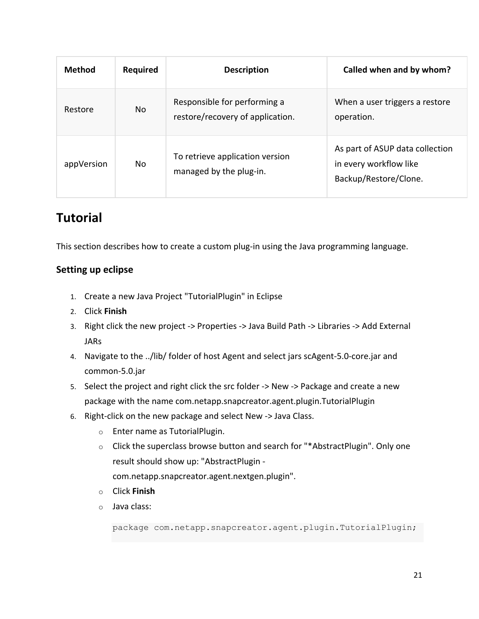| <b>Method</b> | <b>Required</b> | <b>Description</b>                                               | Called when and by whom?                                                           |
|---------------|-----------------|------------------------------------------------------------------|------------------------------------------------------------------------------------|
| Restore       | No              | Responsible for performing a<br>restore/recovery of application. | When a user triggers a restore<br>operation.                                       |
| appVersion    | No              | To retrieve application version<br>managed by the plug-in.       | As part of ASUP data collection<br>in every workflow like<br>Backup/Restore/Clone. |

## <span id="page-21-0"></span>**Tutorial**

This section describes how to create a custom plug-in using the Java programming language.

### <span id="page-21-1"></span>**Setting up eclipse**

- 1. Create a new Java Project "TutorialPlugin" in Eclipse
- 2. Click **Finish**
- 3. Right click the new project -> Properties -> Java Build Path -> Libraries -> Add External JARs
- 4. Navigate to the ../lib/ folder of host Agent and select jars scAgent-5.0-core.jar and common-5.0.jar
- 5. Select the project and right click the src folder -> New -> Package and create a new package with the name com.netapp.snapcreator.agent.plugin.TutorialPlugin
- 6. Right-click on the new package and select New -> Java Class.
	- o Enter name as TutorialPlugin.
	- o Click the superclass browse button and search for "\*AbstractPlugin". Only one result should show up: "AbstractPlugin
		- com.netapp.snapcreator.agent.nextgen.plugin".
	- o Click **Finish**
	- o Java class:

package com.netapp.snapcreator.agent.plugin.TutorialPlugin;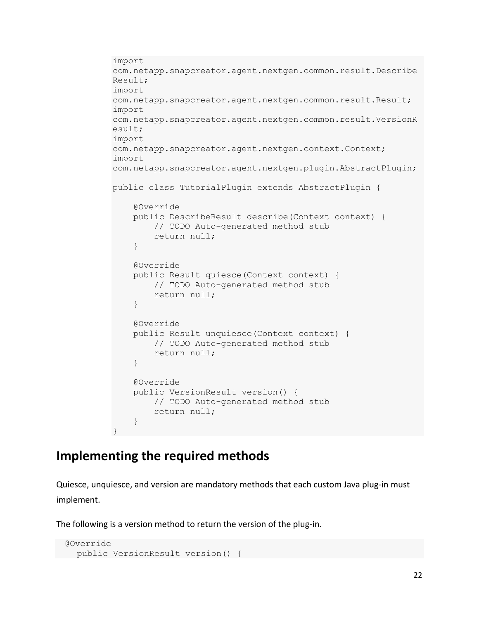```
import 
com.netapp.snapcreator.agent.nextgen.common.result.Describe
Result;
import 
com.netapp.snapcreator.agent.nextgen.common.result.Result;
import 
com.netapp.snapcreator.agent.nextgen.common.result.VersionR
esult;
import 
com.netapp.snapcreator.agent.nextgen.context.Context;
import 
com.netapp.snapcreator.agent.nextgen.plugin.AbstractPlugin;
public class TutorialPlugin extends AbstractPlugin {
     @Override
     public DescribeResult describe(Context context) {
         // TODO Auto-generated method stub
         return null;
     }
     @Override
     public Result quiesce(Context context) {
         // TODO Auto-generated method stub
         return null;
     }
     @Override
     public Result unquiesce(Context context) {
         // TODO Auto-generated method stub
         return null;
     }
     @Override
     public VersionResult version() {
         // TODO Auto-generated method stub
         return null;
     }
}
```
### <span id="page-22-0"></span>**Implementing the required methods**

Quiesce, unquiesce, and version are mandatory methods that each custom Java plug-in must implement.

The following is a version method to return the version of the plug-in.

```
 @Override
 public VersionResult version() {
```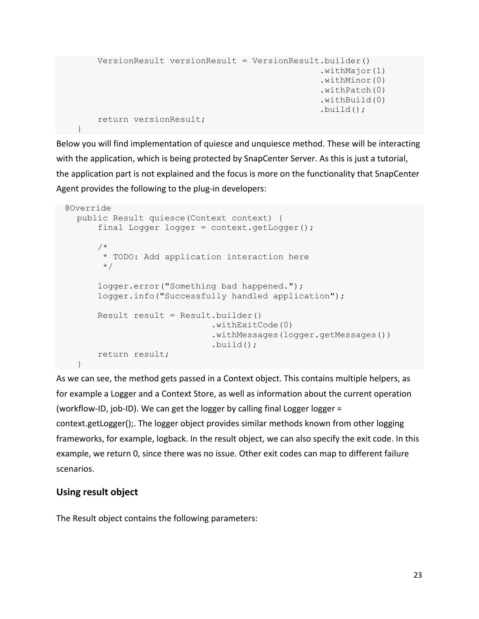```
 VersionResult versionResult = VersionResult.builder()
                                                .withMajor(1)
                                               .withMinor(0)
                                              .withPatch(0)
                                              .withBuild(0)
                                               .build();
 return versionResult;
```
Below you will find implementation of quiesce and unquiesce method. These will be interacting with the application, which is being protected by SnapCenter Server. As this is just a tutorial, the application part is not explained and the focus is more on the functionality that SnapCenter Agent provides the following to the plug-in developers:

```
 @Override
    public Result quiesce(Context context) {
        final Logger logger = context.getLogger();
         /*
          * TODO: Add application interaction here
          */
         logger.error("Something bad happened.");
         logger.info("Successfully handled application");
        Result result = Result.builder() .withExitCode(0)
                                .withMessages(logger.getMessages())
                               .build();
         return result;
 }
```
As we can see, the method gets passed in a Context object. This contains multiple helpers, as for example a Logger and a Context Store, as well as information about the current operation (workflow-ID, job-ID). We can get the logger by calling final Logger logger = context.getLogger();. The logger object provides similar methods known from other logging frameworks, for example, logback. In the result object, we can also specify the exit code. In this example, we return 0, since there was no issue. Other exit codes can map to different failure scenarios.

### <span id="page-23-0"></span>**Using result object**

}

The Result object contains the following parameters: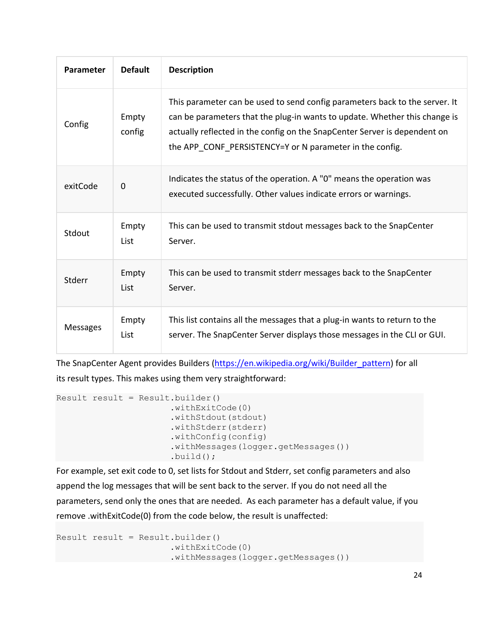| <b>Parameter</b> | <b>Default</b>  | <b>Description</b>                                                                                                                                                                                                                                                                                 |
|------------------|-----------------|----------------------------------------------------------------------------------------------------------------------------------------------------------------------------------------------------------------------------------------------------------------------------------------------------|
| Config           | Empty<br>config | This parameter can be used to send config parameters back to the server. It<br>can be parameters that the plug-in wants to update. Whether this change is<br>actually reflected in the config on the SnapCenter Server is dependent on<br>the APP CONF PERSISTENCY=Y or N parameter in the config. |
| exitCode         | $\mathbf 0$     | Indicates the status of the operation. A "0" means the operation was<br>executed successfully. Other values indicate errors or warnings.                                                                                                                                                           |
| Stdout           | Empty<br>List   | This can be used to transmit stdout messages back to the SnapCenter<br>Server.                                                                                                                                                                                                                     |
| Stderr           | Empty<br>List   | This can be used to transmit stderr messages back to the SnapCenter<br>Server.                                                                                                                                                                                                                     |
| <b>Messages</b>  | Empty<br>List   | This list contains all the messages that a plug-in wants to return to the<br>server. The SnapCenter Server displays those messages in the CLI or GUI.                                                                                                                                              |

The SnapCenter Agent provides Builders [\(https://en.wikipedia.org/wiki/Builder\\_pattern\)](https://en.wikipedia.org/wiki/Builder_pattern) for all its result types. This makes using them very straightforward:

```
Result result = Result.builder() .withExitCode(0)
                      .withStdout(stdout)
                      .withStderr(stderr)
                      .withConfig(config)
                       .withMessages(logger.getMessages())
                      .build();
```
For example, set exit code to 0, set lists for Stdout and Stderr, set config parameters and also append the log messages that will be sent back to the server. If you do not need all the parameters, send only the ones that are needed. As each parameter has a default value, if you remove .withExitCode(0) from the code below, the result is unaffected:

```
Result result = Result.builder() .withExitCode(0)
                      .withMessages(logger.getMessages())
```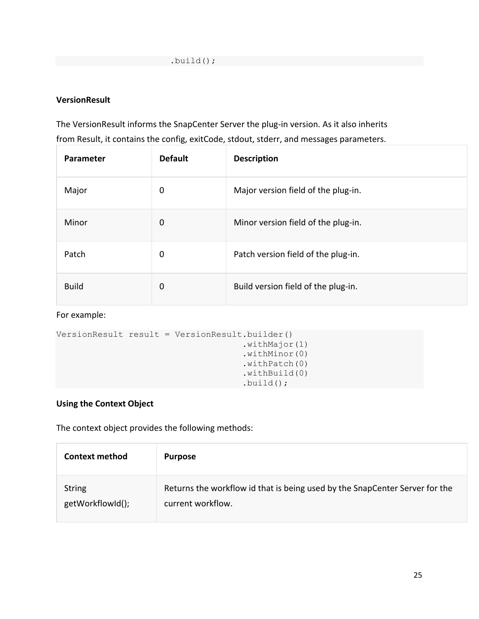### **VersionResult**

The VersionResult informs the SnapCenter Server the plug-in version. As it also inherits from Result, it contains the config, exitCode, stdout, stderr, and messages parameters.

| Parameter    | <b>Default</b> | <b>Description</b>                  |
|--------------|----------------|-------------------------------------|
| Major        | 0              | Major version field of the plug-in. |
| Minor        | 0              | Minor version field of the plug-in. |
| Patch        | 0              | Patch version field of the plug-in. |
| <b>Build</b> | 0              | Build version field of the plug-in. |

#### For example:

```
VersionResult result = VersionResult.builder()
                                       .withMajor(1)
                                      .withMinor(0)
                                      .withPatch(0)
                                      .withBuild(0)
                                       .build();
```
### <span id="page-25-0"></span>**Using the Context Object**

The context object provides the following methods:

| <b>Context method</b> | <b>Purpose</b>                                                              |
|-----------------------|-----------------------------------------------------------------------------|
| <b>String</b>         | Returns the workflow id that is being used by the SnapCenter Server for the |
| getWorkflowId();      | current workflow.                                                           |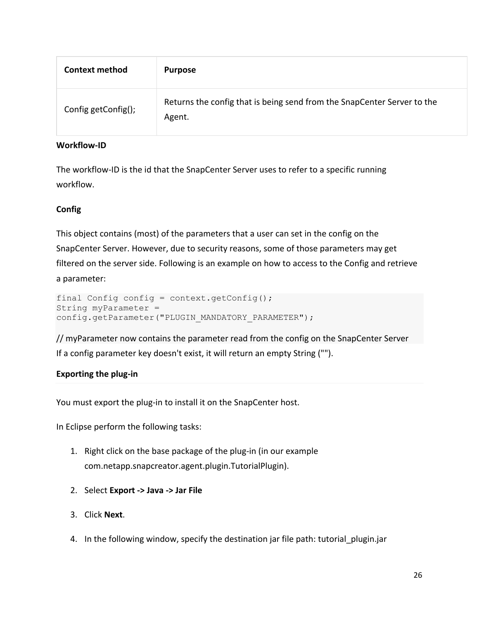| <b>Context method</b> | <b>Purpose</b>                                                                    |
|-----------------------|-----------------------------------------------------------------------------------|
| Config getConfig();   | Returns the config that is being send from the SnapCenter Server to the<br>Agent. |

#### **Workflow-ID**

The workflow-ID is the id that the SnapCenter Server uses to refer to a specific running workflow.

#### **Config**

This object contains (most) of the parameters that a user can set in the config on the SnapCenter Server. However, due to security reasons, some of those parameters may get filtered on the server side. Following is an example on how to access to the Config and retrieve a parameter:

```
final Config config = context.getConfig();
String myParameter = 
config.getParameter("PLUGIN_MANDATORY_PARAMETER");
```
// myParameter now contains the parameter read from the config on the SnapCenter Server If a config parameter key doesn't exist, it will return an empty String ("").

### <span id="page-26-0"></span>**Exporting the plug-in**

You must export the plug-in to install it on the SnapCenter host.

In Eclipse perform the following tasks:

- 1. Right click on the base package of the plug-in (in our example com.netapp.snapcreator.agent.plugin.TutorialPlugin).
- 2. Select **Export -> Java -> Jar File**
- 3. Click **Next**.
- 4. In the following window, specify the destination jar file path: tutorial plugin.jar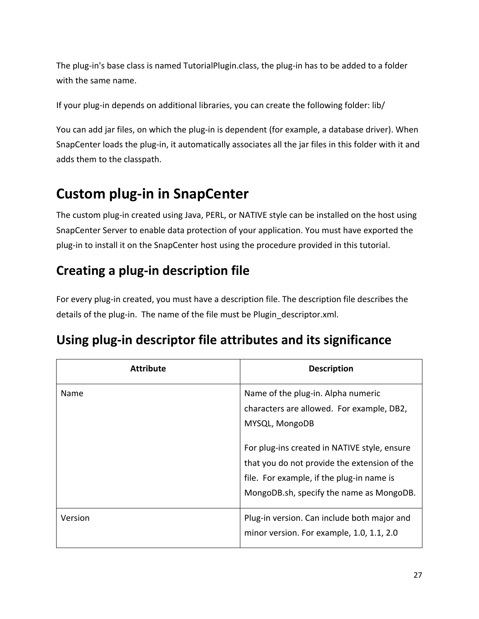The plug-in's base class is named TutorialPlugin.class, the plug-in has to be added to a folder with the same name.

If your plug-in depends on additional libraries, you can create the following folder: lib/

You can add jar files, on which the plug-in is dependent (for example, a database driver). When SnapCenter loads the plug-in, it automatically associates all the jar files in this folder with it and adds them to the classpath.

## <span id="page-27-0"></span>**Custom plug-in in SnapCenter**

The custom plug-in created using Java, PERL, or NATIVE style can be installed on the host using SnapCenter Server to enable data protection of your application. You must have exported the plug-in to install it on the SnapCenter host using the procedure provided in this tutorial.

## <span id="page-27-1"></span>**Creating a plug-in description file**

For every plug-in created, you must have a description file. The description file describes the details of the plug-in. The name of the file must be Plugin descriptor.xml.

## <span id="page-27-2"></span>**Using plug-in descriptor file attributes and its significance**

| <b>Attribute</b> | <b>Description</b>                                                                                                                                                                                                                                                                         |
|------------------|--------------------------------------------------------------------------------------------------------------------------------------------------------------------------------------------------------------------------------------------------------------------------------------------|
| Name             | Name of the plug-in. Alpha numeric<br>characters are allowed. For example, DB2,<br>MYSQL, MongoDB<br>For plug-ins created in NATIVE style, ensure<br>that you do not provide the extension of the<br>file. For example, if the plug-in name is<br>MongoDB.sh, specify the name as MongoDB. |
| Version          | Plug-in version. Can include both major and<br>minor version. For example, 1.0, 1.1, 2.0                                                                                                                                                                                                   |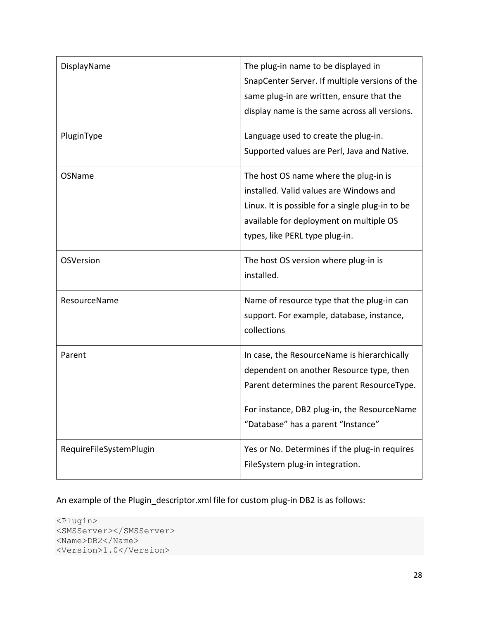| DisplayName             | The plug-in name to be displayed in<br>SnapCenter Server. If multiple versions of the<br>same plug-in are written, ensure that the<br>display name is the same across all versions.                                        |
|-------------------------|----------------------------------------------------------------------------------------------------------------------------------------------------------------------------------------------------------------------------|
| PluginType              | Language used to create the plug-in.<br>Supported values are Perl, Java and Native.                                                                                                                                        |
| OSName                  | The host OS name where the plug-in is<br>installed. Valid values are Windows and<br>Linux. It is possible for a single plug-in to be<br>available for deployment on multiple OS<br>types, like PERL type plug-in.          |
| OSVersion               | The host OS version where plug-in is<br>installed.                                                                                                                                                                         |
| ResourceName            | Name of resource type that the plug-in can<br>support. For example, database, instance,<br>collections                                                                                                                     |
| Parent                  | In case, the ResourceName is hierarchically<br>dependent on another Resource type, then<br>Parent determines the parent ResourceType.<br>For instance, DB2 plug-in, the ResourceName<br>"Database" has a parent "Instance" |
| RequireFileSystemPlugin | Yes or No. Determines if the plug-in requires<br>FileSystem plug-in integration.                                                                                                                                           |

An example of the Plugin\_descriptor.xml file for custom plug-in DB2 is as follows:

```
<Plugin>
<SMSServer></SMSServer>
<Name>DB2</Name>
<Version>1.0</Version>
```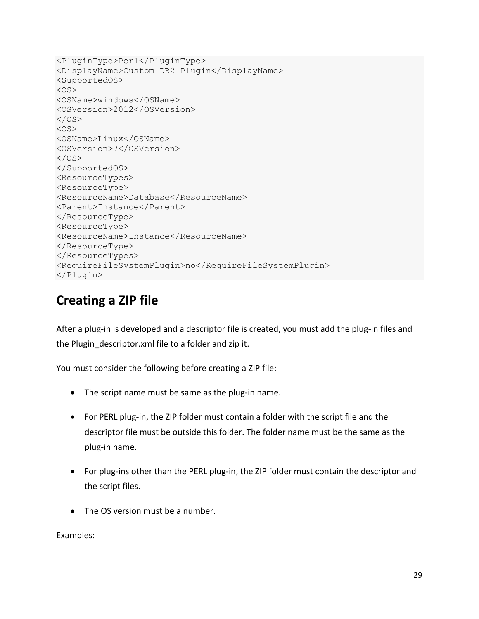```
<PluginType>Perl</PluginType>
<DisplayName>Custom DB2 Plugin</DisplayName>
<SupportedOS>
< 0S><OSName>windows</OSName>
<OSVersion>2012</OSVersion>
\langle/OS>< 0S><OSName>Linux</OSName>
<OSVersion>7</OSVersion>
\langle/OS></SupportedOS>
<ResourceTypes>
<ResourceType>
<ResourceName>Database</ResourceName>
<Parent>Instance</Parent>
</ResourceType>
<ResourceType>
<ResourceName>Instance</ResourceName>
</ResourceType>
</ResourceTypes>
<RequireFileSystemPlugin>no</RequireFileSystemPlugin>
</Plugin>
```
### <span id="page-29-0"></span>**Creating a ZIP file**

After a plug-in is developed and a descriptor file is created, you must add the plug-in files and the Plugin\_descriptor.xml file to a folder and zip it.

You must consider the following before creating a ZIP file:

- The script name must be same as the plug-in name.
- For PERL plug-in, the ZIP folder must contain a folder with the script file and the descriptor file must be outside this folder. The folder name must be the same as the plug-in name.
- For plug-ins other than the PERL plug-in, the ZIP folder must contain the descriptor and the script files.
- The OS version must be a number.

Examples: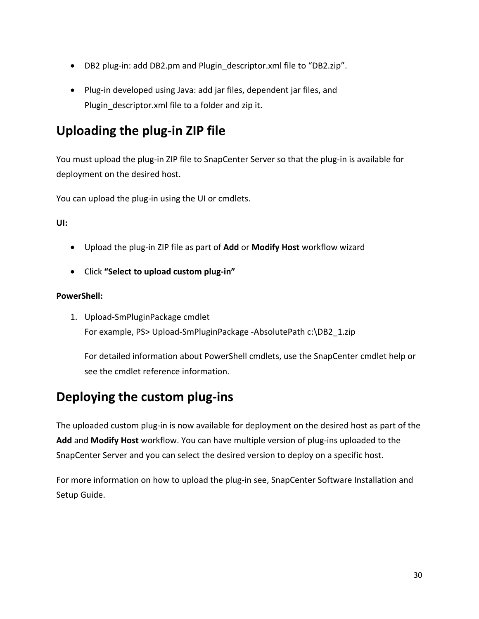- DB2 plug-in: add DB2.pm and Plugin descriptor.xml file to "DB2.zip".
- Plug-in developed using Java: add jar files, dependent jar files, and Plugin descriptor.xml file to a folder and zip it.

## <span id="page-30-0"></span>**Uploading the plug-in ZIP file**

You must upload the plug-in ZIP file to SnapCenter Server so that the plug-in is available for deployment on the desired host.

You can upload the plug-in using the UI or cmdlets.

**UI:**

- Upload the plug-in ZIP file as part of **Add** or **Modify Host** workflow wizard
- Click **"Select to upload custom plug-in"**

#### **PowerShell:**

1. Upload-SmPluginPackage cmdlet For example, PS> Upload-SmPluginPackage -AbsolutePath c:\DB2\_1.zip

For detailed information about PowerShell cmdlets, use the SnapCenter cmdlet help or see the cmdlet reference information.

### <span id="page-30-1"></span>**Deploying the custom plug-ins**

The uploaded custom plug-in is now available for deployment on the desired host as part of the **Add** and **Modify Host** workflow. You can have multiple version of plug-ins uploaded to the SnapCenter Server and you can select the desired version to deploy on a specific host.

For more information on how to upload the plug-in see, SnapCenter Software Installation and Setup Guide.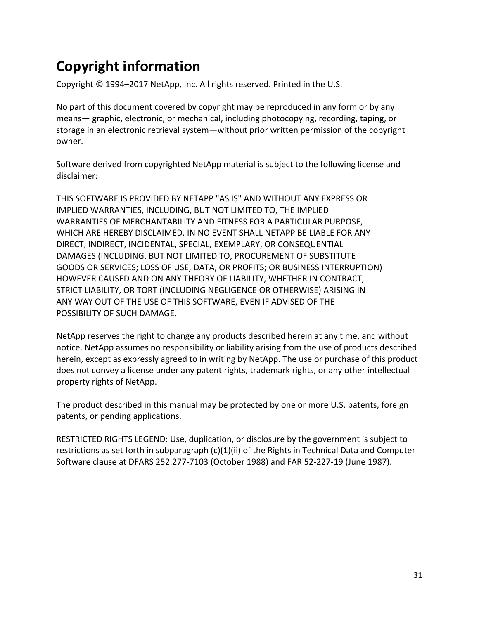## <span id="page-31-0"></span>**Copyright information**

Copyright © 1994–2017 NetApp, Inc. All rights reserved. Printed in the U.S.

No part of this document covered by copyright may be reproduced in any form or by any means— graphic, electronic, or mechanical, including photocopying, recording, taping, or storage in an electronic retrieval system—without prior written permission of the copyright owner.

Software derived from copyrighted NetApp material is subject to the following license and disclaimer:

THIS SOFTWARE IS PROVIDED BY NETAPP "AS IS" AND WITHOUT ANY EXPRESS OR IMPLIED WARRANTIES, INCLUDING, BUT NOT LIMITED TO, THE IMPLIED WARRANTIES OF MERCHANTABILITY AND FITNESS FOR A PARTICULAR PURPOSE, WHICH ARE HEREBY DISCLAIMED. IN NO EVENT SHALL NETAPP BE LIABLE FOR ANY DIRECT, INDIRECT, INCIDENTAL, SPECIAL, EXEMPLARY, OR CONSEQUENTIAL DAMAGES (INCLUDING, BUT NOT LIMITED TO, PROCUREMENT OF SUBSTITUTE GOODS OR SERVICES; LOSS OF USE, DATA, OR PROFITS; OR BUSINESS INTERRUPTION) HOWEVER CAUSED AND ON ANY THEORY OF LIABILITY, WHETHER IN CONTRACT, STRICT LIABILITY, OR TORT (INCLUDING NEGLIGENCE OR OTHERWISE) ARISING IN ANY WAY OUT OF THE USE OF THIS SOFTWARE, EVEN IF ADVISED OF THE POSSIBILITY OF SUCH DAMAGE.

NetApp reserves the right to change any products described herein at any time, and without notice. NetApp assumes no responsibility or liability arising from the use of products described herein, except as expressly agreed to in writing by NetApp. The use or purchase of this product does not convey a license under any patent rights, trademark rights, or any other intellectual property rights of NetApp.

The product described in this manual may be protected by one or more U.S. patents, foreign patents, or pending applications.

RESTRICTED RIGHTS LEGEND: Use, duplication, or disclosure by the government is subject to restrictions as set forth in subparagraph (c)(1)(ii) of the Rights in Technical Data and Computer Software clause at DFARS 252.277-7103 (October 1988) and FAR 52-227-19 (June 1987).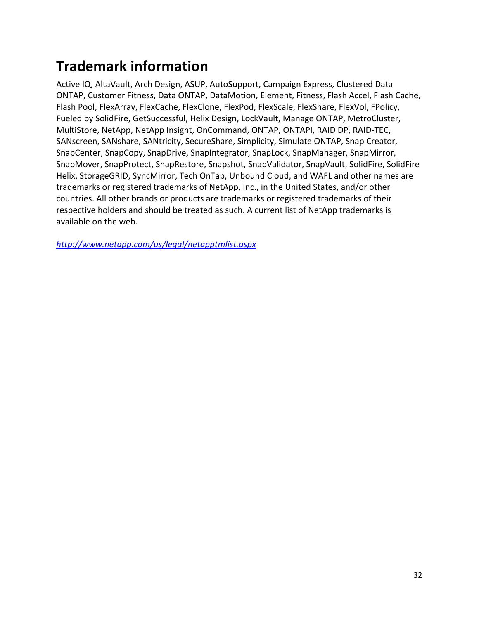## <span id="page-32-0"></span>**Trademark information**

Active IQ, AltaVault, Arch Design, ASUP, AutoSupport, Campaign Express, Clustered Data ONTAP, Customer Fitness, Data ONTAP, DataMotion, Element, Fitness, Flash Accel, Flash Cache, Flash Pool, FlexArray, FlexCache, FlexClone, FlexPod, FlexScale, FlexShare, FlexVol, FPolicy, Fueled by SolidFire, GetSuccessful, Helix Design, LockVault, Manage ONTAP, MetroCluster, MultiStore, NetApp, NetApp Insight, OnCommand, ONTAP, ONTAPI, RAID DP, RAID-TEC, SANscreen, SANshare, SANtricity, SecureShare, Simplicity, Simulate ONTAP, Snap Creator, SnapCenter, SnapCopy, SnapDrive, SnapIntegrator, SnapLock, SnapManager, SnapMirror, SnapMover, SnapProtect, SnapRestore, Snapshot, SnapValidator, SnapVault, SolidFire, SolidFire Helix, StorageGRID, SyncMirror, Tech OnTap, Unbound Cloud, and WAFL and other names are trademarks or registered trademarks of NetApp, Inc., in the United States, and/or other countries. All other brands or products are trademarks or registered trademarks of their respective holders and should be treated as such. A current list of NetApp trademarks is available on the web.

*<http://www.netapp.com/us/legal/netapptmlist.aspx>*